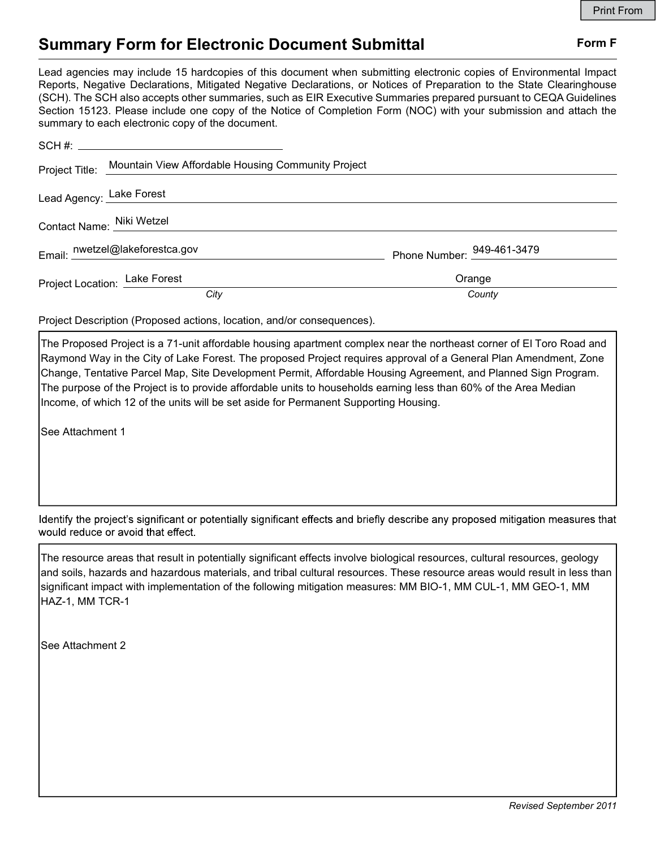# Summary Form for Electronic Document Submittal Form F

Lead agencies may include 15 hardcopies of this document when submitting electronic copies of Environmental Impact Reports, Negative Declarations, Mitigated Negative Declarations, or Notices of Preparation to the State Clearinghouse (SCH). The SCH also accepts other summaries, such as EIR Executive Summaries prepared pursuant to CEQA Guidelines Section 15123. Please include one copy of the Notice of Completion Form (NOC) with your submission and attach the summary to each electronic copy of the document.

|                               | Project Title: Mountain View Affordable Housing Community Project |                            |
|-------------------------------|-------------------------------------------------------------------|----------------------------|
| Lead Agency: Lake Forest      |                                                                   |                            |
|                               | Contact Name: Niki Wetzel                                         |                            |
|                               | Email: nwetzel@lakeforestca.gov                                   | Phone Number: 949-461-3479 |
| Project Location: Lake Forest |                                                                   | Orange                     |
|                               | City                                                              | County                     |

Project Description (Proposed actions, location, and/or consequences).

The Proposed Project is a 71-unit affordable housing apartment complex near the northeast corner of El Toro Road and Raymond Way in the City of Lake Forest. The proposed Project requires approval of a General Plan Amendment, Zone Change, Tentative Parcel Map, Site Development Permit, Affordable Housing Agreement, and Planned Sign Program. The purpose of the Project is to provide affordable units to households earning less than 60% of the Area Median Income, of which 12 of the units will be set aside for Permanent Supporting Housing.

See Attachment 1

Identify the project's significant or potentially significant effects and briefly describe any proposed mitigation measures that would reduce or avoid that effect.

The resource areas that result in potentially significant effects involve biological resources, cultural resources, geology and soils, hazards and hazardous materials, and tribal cultural resources. These resource areas would result in less than significant impact with implementation of the following mitigation measures: MM BIO-1, MM CUL-1, MM GEO-1, MM HAZ-1, MM TCR-1

See Attachment 2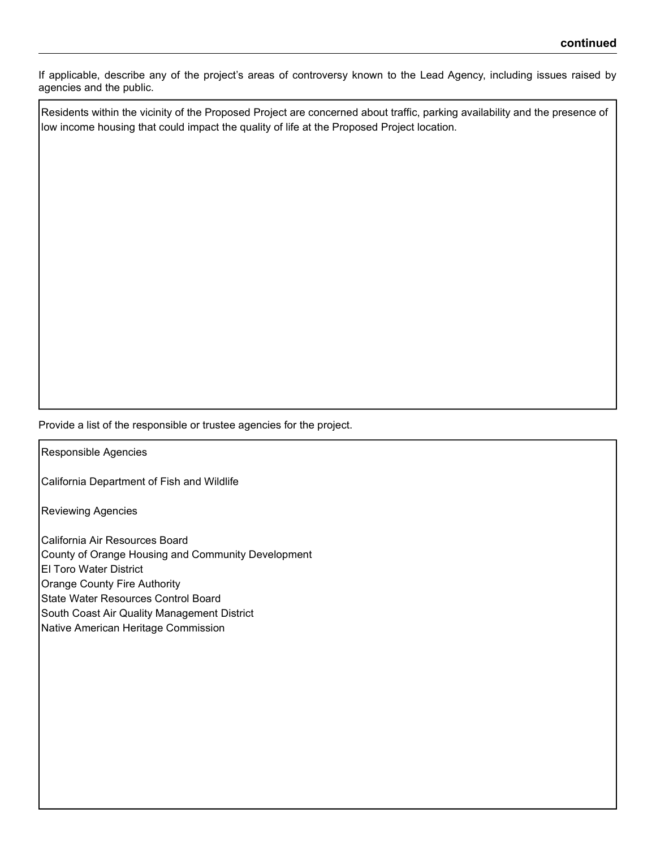If applicable, describe any of the project's areas of controversy known to the Lead Agency, including issues raised by agencies and the public.

Residents within the vicinity of the Proposed Project are concerned about traffic, parking availability and the presence of low income housing that could impact the quality of life at the Proposed Project location.

Provide a list of the responsible or trustee agencies for the project.

Responsible Agencies

California Department of Fish and Wildlife

Reviewing Agencies

California Air Resources Board County of Orange Housing and Community Development El Toro Water District Orange County Fire Authority State Water Resources Control Board

South Coast Air Quality Management District

Native American Heritage Commission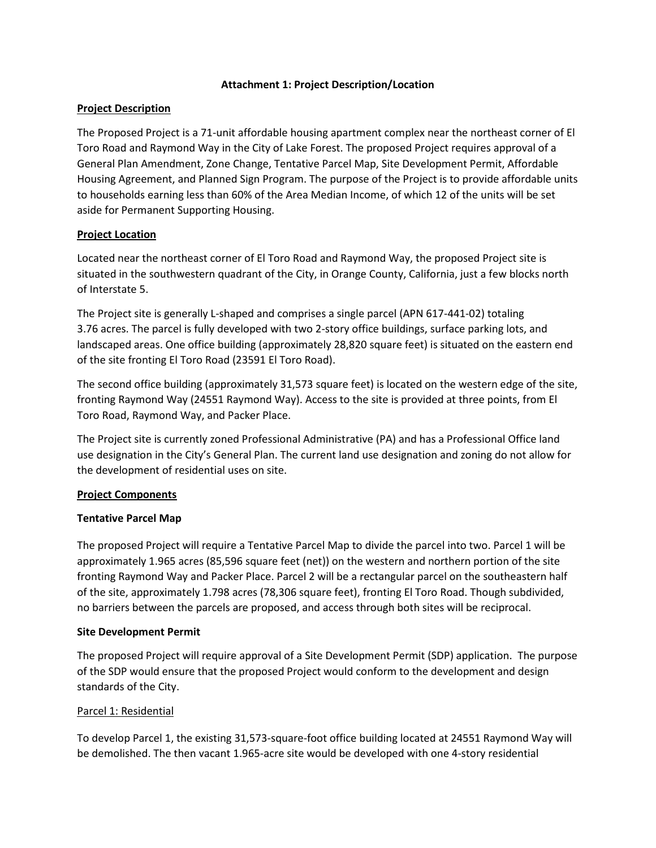### **Attachment 1: Project Description/Location**

## **Project Description**

The Proposed Project is a 71-unit affordable housing apartment complex near the northeast corner of El Toro Road and Raymond Way in the City of Lake Forest. The proposed Project requires approval of a General Plan Amendment, Zone Change, Tentative Parcel Map, Site Development Permit, Affordable Housing Agreement, and Planned Sign Program. The purpose of the Project is to provide affordable units to households earning less than 60% of the Area Median Income, of which 12 of the units will be set aside for Permanent Supporting Housing.

## **Project Location**

Located near the northeast corner of El Toro Road and Raymond Way, the proposed Project site is situated in the southwestern quadrant of the City, in Orange County, California, just a few blocks north of Interstate 5.

The Project site is generally L-shaped and comprises a single parcel (APN 617-441-02) totaling 3.76 acres. The parcel is fully developed with two 2-story office buildings, surface parking lots, and landscaped areas. One office building (approximately 28,820 square feet) is situated on the eastern end of the site fronting El Toro Road (23591 El Toro Road).

The second office building (approximately 31,573 square feet) is located on the western edge of the site, fronting Raymond Way (24551 Raymond Way). Access to the site is provided at three points, from El Toro Road, Raymond Way, and Packer Place.

The Project site is currently zoned Professional Administrative (PA) and has a Professional Office land use designation in the City's General Plan. The current land use designation and zoning do not allow for the development of residential uses on site.

## **Project Components**

## **Tentative Parcel Map**

The proposed Project will require a Tentative Parcel Map to divide the parcel into two. Parcel 1 will be approximately 1.965 acres (85,596 square feet (net)) on the western and northern portion of the site fronting Raymond Way and Packer Place. Parcel 2 will be a rectangular parcel on the southeastern half of the site, approximately 1.798 acres (78,306 square feet), fronting El Toro Road. Though subdivided, no barriers between the parcels are proposed, and access through both sites will be reciprocal.

## **Site Development Permit**

The proposed Project will require approval of a Site Development Permit (SDP) application. The purpose of the SDP would ensure that the proposed Project would conform to the development and design standards of the City.

## Parcel 1: Residential

To develop Parcel 1, the existing 31,573-square-foot office building located at 24551 Raymond Way will be demolished. The then vacant 1.965-acre site would be developed with one 4-story residential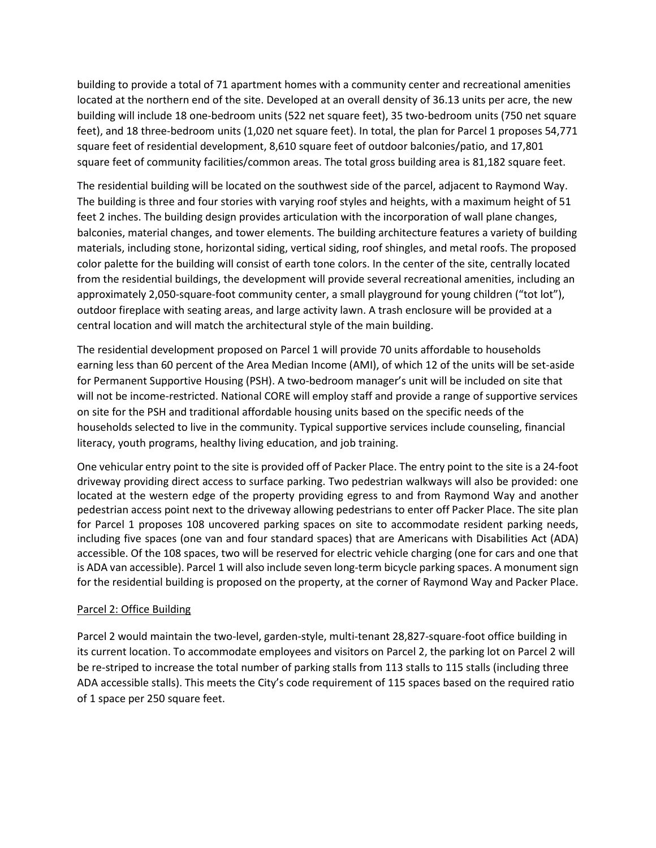building to provide a total of 71 apartment homes with a community center and recreational amenities located at the northern end of the site. Developed at an overall density of 36.13 units per acre, the new building will include 18 one-bedroom units (522 net square feet), 35 two-bedroom units (750 net square feet), and 18 three-bedroom units (1,020 net square feet). In total, the plan for Parcel 1 proposes 54,771 square feet of residential development, 8,610 square feet of outdoor balconies/patio, and 17,801 square feet of community facilities/common areas. The total gross building area is 81,182 square feet.

The residential building will be located on the southwest side of the parcel, adjacent to Raymond Way. The building is three and four stories with varying roof styles and heights, with a maximum height of 51 feet 2 inches. The building design provides articulation with the incorporation of wall plane changes, balconies, material changes, and tower elements. The building architecture features a variety of building materials, including stone, horizontal siding, vertical siding, roof shingles, and metal roofs. The proposed color palette for the building will consist of earth tone colors. In the center of the site, centrally located from the residential buildings, the development will provide several recreational amenities, including an approximately 2,050-square-foot community center, a small playground for young children ("tot lot"), outdoor fireplace with seating areas, and large activity lawn. A trash enclosure will be provided at a central location and will match the architectural style of the main building.

The residential development proposed on Parcel 1 will provide 70 units affordable to households earning less than 60 percent of the Area Median Income (AMI), of which 12 of the units will be set-aside for Permanent Supportive Housing (PSH). A two-bedroom manager's unit will be included on site that will not be income-restricted. National CORE will employ staff and provide a range of supportive services on site for the PSH and traditional affordable housing units based on the specific needs of the households selected to live in the community. Typical supportive services include counseling, financial literacy, youth programs, healthy living education, and job training.

One vehicular entry point to the site is provided off of Packer Place. The entry point to the site is a 24-foot driveway providing direct access to surface parking. Two pedestrian walkways will also be provided: one located at the western edge of the property providing egress to and from Raymond Way and another pedestrian access point next to the driveway allowing pedestrians to enter off Packer Place. The site plan for Parcel 1 proposes 108 uncovered parking spaces on site to accommodate resident parking needs, including five spaces (one van and four standard spaces) that are Americans with Disabilities Act (ADA) accessible. Of the 108 spaces, two will be reserved for electric vehicle charging (one for cars and one that is ADA van accessible). Parcel 1 will also include seven long-term bicycle parking spaces. A monument sign for the residential building is proposed on the property, at the corner of Raymond Way and Packer Place.

## Parcel 2: Office Building

Parcel 2 would maintain the two-level, garden-style, multi-tenant 28,827-square-foot office building in its current location. To accommodate employees and visitors on Parcel 2, the parking lot on Parcel 2 will be re-striped to increase the total number of parking stalls from 113 stalls to 115 stalls (including three ADA accessible stalls). This meets the City's code requirement of 115 spaces based on the required ratio of 1 space per 250 square feet.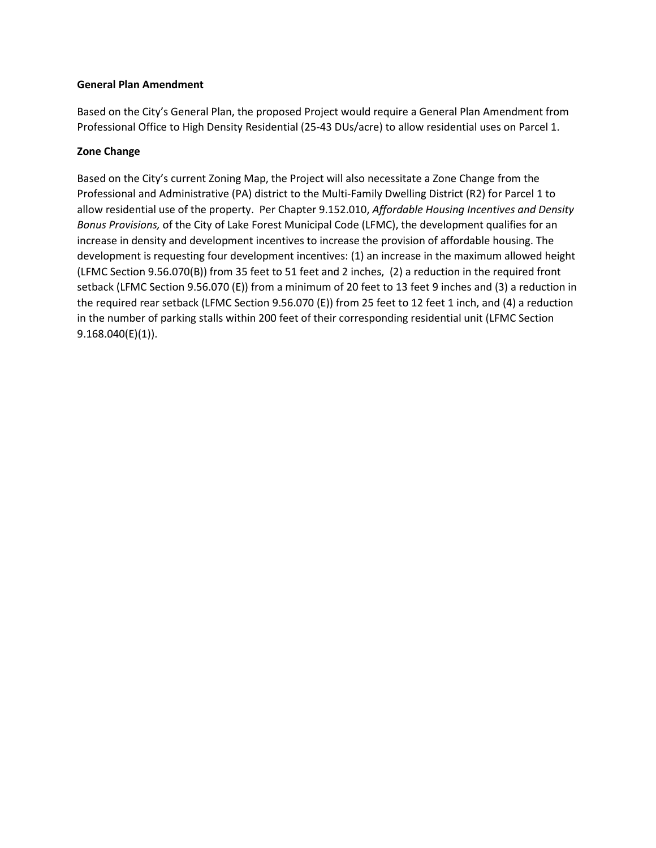# **General Plan Amendment**

Based on the City's General Plan, the proposed Project would require a General Plan Amendment from Professional Office to High Density Residential (25-43 DUs/acre) to allow residential uses on Parcel 1.

# **Zone Change**

Based on the City's current Zoning Map, the Project will also necessitate a Zone Change from the Professional and Administrative (PA) district to the Multi-Family Dwelling District (R2) for Parcel 1 to allow residential use of the property. Per Chapter 9.152.010, *Affordable Housing Incentives and Density Bonus Provisions,* of the City of Lake Forest Municipal Code (LFMC), the development qualifies for an increase in density and development incentives to increase the provision of affordable housing. The development is requesting four development incentives: (1) an increase in the maximum allowed height (LFMC Section 9.56.070(B)) from 35 feet to 51 feet and 2 inches, (2) a reduction in the required front setback (LFMC Section 9.56.070 (E)) from a minimum of 20 feet to 13 feet 9 inches and (3) a reduction in the required rear setback (LFMC Section 9.56.070 (E)) from 25 feet to 12 feet 1 inch, and (4) a reduction in the number of parking stalls within 200 feet of their corresponding residential unit (LFMC Section 9.168.040(E)(1)).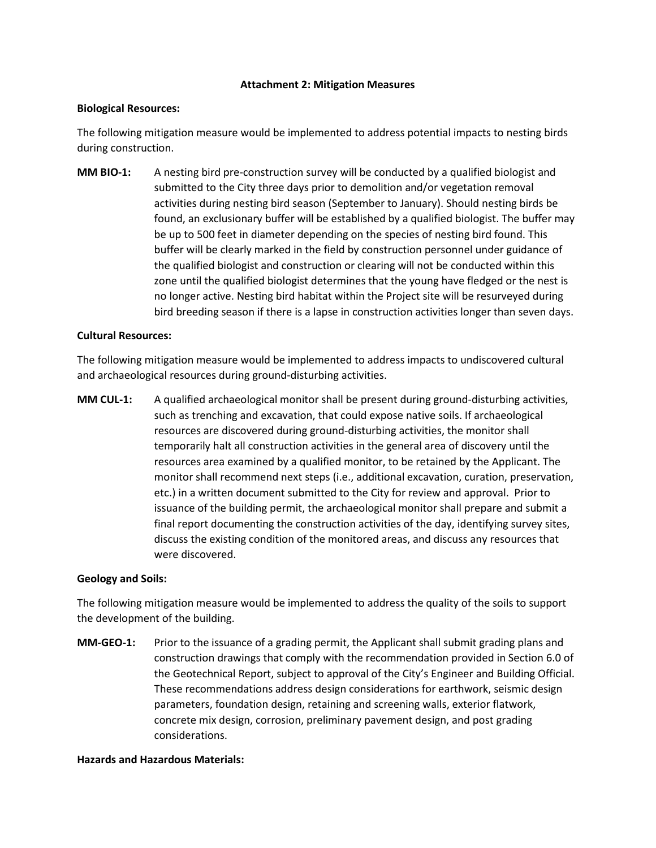#### **Attachment 2: Mitigation Measures**

#### **Biological Resources:**

The following mitigation measure would be implemented to address potential impacts to nesting birds during construction.

**MM BIO-1:** A nesting bird pre-construction survey will be conducted by a qualified biologist and submitted to the City three days prior to demolition and/or vegetation removal activities during nesting bird season (September to January). Should nesting birds be found, an exclusionary buffer will be established by a qualified biologist. The buffer may be up to 500 feet in diameter depending on the species of nesting bird found. This buffer will be clearly marked in the field by construction personnel under guidance of the qualified biologist and construction or clearing will not be conducted within this zone until the qualified biologist determines that the young have fledged or the nest is no longer active. Nesting bird habitat within the Project site will be resurveyed during bird breeding season if there is a lapse in construction activities longer than seven days.

#### **Cultural Resources:**

The following mitigation measure would be implemented to address impacts to undiscovered cultural and archaeological resources during ground-disturbing activities.

**MM CUL-1:** A qualified archaeological monitor shall be present during ground-disturbing activities, such as trenching and excavation, that could expose native soils. If archaeological resources are discovered during ground-disturbing activities, the monitor shall temporarily halt all construction activities in the general area of discovery until the resources area examined by a qualified monitor, to be retained by the Applicant. The monitor shall recommend next steps (i.e., additional excavation, curation, preservation, etc.) in a written document submitted to the City for review and approval. Prior to issuance of the building permit, the archaeological monitor shall prepare and submit a final report documenting the construction activities of the day, identifying survey sites, discuss the existing condition of the monitored areas, and discuss any resources that were discovered.

#### **Geology and Soils:**

The following mitigation measure would be implemented to address the quality of the soils to support the development of the building.

**MM-GEO-1:** Prior to the issuance of a grading permit, the Applicant shall submit grading plans and construction drawings that comply with the recommendation provided in Section 6.0 of the Geotechnical Report, subject to approval of the City's Engineer and Building Official. These recommendations address design considerations for earthwork, seismic design parameters, foundation design, retaining and screening walls, exterior flatwork, concrete mix design, corrosion, preliminary pavement design, and post grading considerations.

#### **Hazards and Hazardous Materials:**